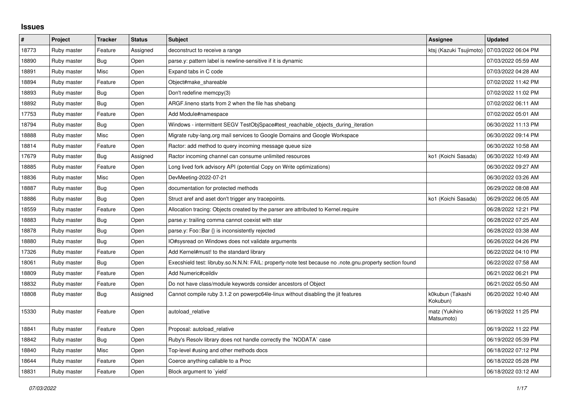## **Issues**

| #     | Project     | <b>Tracker</b> | <b>Status</b> | <b>Subject</b>                                                                                                               | Assignee                     | <b>Updated</b>      |
|-------|-------------|----------------|---------------|------------------------------------------------------------------------------------------------------------------------------|------------------------------|---------------------|
| 18773 | Ruby master | Feature        | Assigned      | deconstruct to receive a range                                                                                               | ktsj (Kazuki Tsujimoto)      | 07/03/2022 06:04 PM |
| 18890 | Ruby master | Bug            | Open          | parse y: pattern label is newline-sensitive if it is dynamic                                                                 |                              | 07/03/2022 05:59 AM |
| 18891 | Ruby master | Misc           | Open          | Expand tabs in C code                                                                                                        |                              | 07/03/2022 04:28 AM |
| 18894 | Ruby master | Feature        | Open          | Object#make shareable                                                                                                        |                              | 07/02/2022 11:42 PM |
| 18893 | Ruby master | <b>Bug</b>     | Open          | Don't redefine memcpy(3)                                                                                                     |                              | 07/02/2022 11:02 PM |
| 18892 | Ruby master | Bug            | Open          | ARGF. lineno starts from 2 when the file has shebang                                                                         |                              | 07/02/2022 06:11 AM |
| 17753 | Ruby master | Feature        | Open          | Add Module#namespace                                                                                                         |                              | 07/02/2022 05:01 AM |
| 18794 | Ruby master | Bug            | Open          | Windows - intermittent SEGV TestObjSpace#test reachable objects during iteration                                             |                              | 06/30/2022 11:13 PM |
| 18888 | Ruby master | Misc           | Open          | Migrate ruby-lang.org mail services to Google Domains and Google Workspace                                                   |                              | 06/30/2022 09:14 PM |
| 18814 | Ruby master | Feature        | Open          | Ractor: add method to query incoming message queue size                                                                      |                              | 06/30/2022 10:58 AM |
| 17679 | Ruby master | Bug            | Assigned      | Ractor incoming channel can consume unlimited resources                                                                      | ko1 (Koichi Sasada)          | 06/30/2022 10:49 AM |
| 18885 | Ruby master | Feature        | Open          | Long lived fork advisory API (potential Copy on Write optimizations)                                                         |                              | 06/30/2022 09:27 AM |
| 18836 | Ruby master | Misc           | Open          | DevMeeting-2022-07-21                                                                                                        |                              | 06/30/2022 03:26 AM |
| 18887 | Ruby master | Bug            | Open          | documentation for protected methods                                                                                          |                              | 06/29/2022 08:08 AM |
| 18886 | Ruby master | Bug            | Open          | Struct aref and aset don't trigger any tracepoints.                                                                          | ko1 (Koichi Sasada)          | 06/29/2022 06:05 AM |
| 18559 | Ruby master | Feature        | Open          | Allocation tracing: Objects created by the parser are attributed to Kernel.require                                           |                              | 06/28/2022 12:21 PM |
| 18883 | Ruby master | Bug            | Open          | parse.y: trailing comma cannot coexist with star                                                                             |                              | 06/28/2022 07:25 AM |
| 18878 | Ruby master | Bug            | Open          | parse.y: Foo::Bar {} is inconsistently rejected                                                                              |                              | 06/28/2022 03:38 AM |
| 18880 | Ruby master | Bug            | Open          | IO#sysread on Windows does not validate arguments                                                                            |                              | 06/26/2022 04:26 PM |
| 17326 | Ruby master | Feature        | Open          | Add Kernel#must! to the standard library                                                                                     |                              | 06/22/2022 04:10 PM |
| 18061 | Ruby master | Bug            | Open          | note.gnu.property section found fost: libruby.so.N.N.Y: FAIL: property-note test because no .note.gnu.property section found |                              | 06/22/2022 07:58 AM |
| 18809 | Ruby master | Feature        | Open          | Add Numeric#ceildiv                                                                                                          |                              | 06/21/2022 06:21 PM |
| 18832 | Ruby master | Feature        | Open          | Do not have class/module keywords consider ancestors of Object                                                               |                              | 06/21/2022 05:50 AM |
| 18808 | Ruby master | <b>Bug</b>     | Assigned      | Cannot compile ruby 3.1.2 on powerpc64le-linux without disabling the jit features                                            | k0kubun (Takashi<br>Kokubun) | 06/20/2022 10:40 AM |
| 15330 | Ruby master | Feature        | Open          | autoload_relative                                                                                                            | matz (Yukihiro<br>Matsumoto) | 06/19/2022 11:25 PM |
| 18841 | Ruby master | Feature        | Open          | Proposal: autoload relative                                                                                                  |                              | 06/19/2022 11:22 PM |
| 18842 | Ruby master | Bug            | Open          | Ruby's Resolv library does not handle correctly the `NODATA` case                                                            |                              | 06/19/2022 05:39 PM |
| 18840 | Ruby master | Misc           | Open          | Top-level #using and other methods docs                                                                                      |                              | 06/18/2022 07:12 PM |
| 18644 | Ruby master | Feature        | Open          | Coerce anything callable to a Proc                                                                                           |                              | 06/18/2022 05:28 PM |
| 18831 | Ruby master | Feature        | Open          | Block argument to 'yield'                                                                                                    |                              | 06/18/2022 03:12 AM |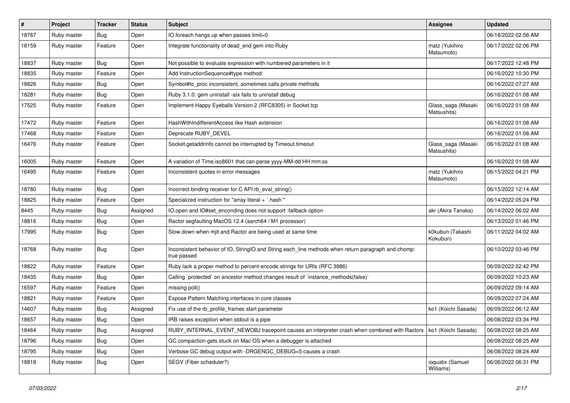| $\vert$ # | Project     | <b>Tracker</b>   | <b>Status</b> | Subject                                                                                                            | <b>Assignee</b>                   | <b>Updated</b>      |
|-----------|-------------|------------------|---------------|--------------------------------------------------------------------------------------------------------------------|-----------------------------------|---------------------|
| 18767     | Ruby master | <b>Bug</b>       | Open          | IO.foreach hangs up when passes limit=0                                                                            |                                   | 06/18/2022 02:56 AM |
| 18159     | Ruby master | Feature          | Open          | Integrate functionality of dead_end gem into Ruby                                                                  | matz (Yukihiro<br>Matsumoto)      | 06/17/2022 02:06 PM |
| 18837     | Ruby master | <b>Bug</b>       | Open          | Not possible to evaluate expression with numbered parameters in it                                                 |                                   | 06/17/2022 12:48 PM |
| 18835     | Ruby master | Feature          | Open          | Add InstructionSequence#type method                                                                                |                                   | 06/16/2022 10:30 PM |
| 18826     | Ruby master | <b>Bug</b>       | Open          | Symbol#to proc inconsistent, sometimes calls private methods                                                       |                                   | 06/16/2022 07:27 AM |
| 18281     | Ruby master | <b>Bug</b>       | Open          | Ruby 3.1.0: gem uninstall -alx fails to uninstall debug                                                            |                                   | 06/16/2022 01:08 AM |
| 17525     | Ruby master | Feature          | Open          | Implement Happy Eyeballs Version 2 (RFC8305) in Socket.tcp                                                         | Glass_saga (Masaki<br>Matsushita) | 06/16/2022 01:08 AM |
| 17472     | Ruby master | Feature          | Open          | HashWithIndifferentAccess like Hash extension                                                                      |                                   | 06/16/2022 01:08 AM |
| 17468     | Ruby master | Feature          | Open          | Deprecate RUBY DEVEL                                                                                               |                                   | 06/16/2022 01:08 AM |
| 16476     | Ruby master | Feature          | Open          | Socket.getaddrinfo cannot be interrupted by Timeout.timeout                                                        | Glass_saga (Masaki<br>Matsushita) | 06/16/2022 01:08 AM |
| 16005     | Ruby master | Feature          | Open          | A variation of Time.iso8601 that can parse yyyy-MM-dd HH:mm:ss                                                     |                                   | 06/16/2022 01:08 AM |
| 16495     | Ruby master | Feature          | Open          | Inconsistent quotes in error messages                                                                              | matz (Yukihiro<br>Matsumoto)      | 06/15/2022 04:21 PM |
| 18780     | Ruby master | Bug              | Open          | Incorrect binding receiver for C API rb_eval_string()                                                              |                                   | 06/15/2022 12:14 AM |
| 18825     | Ruby master | Feature          | Open          | Specialized instruction for "array literal + `.hash`"                                                              |                                   | 06/14/2022 05:24 PM |
| 8445      | Ruby master | <b>Bug</b>       | Assigned      | IO.open and IO#set_enconding does not support :fallback option                                                     | akr (Akira Tanaka)                | 06/14/2022 06:02 AM |
| 18816     | Ruby master | <b>Bug</b>       | Open          | Ractor segfaulting MacOS 12.4 (aarch64 / M1 processor)                                                             |                                   | 06/13/2022 01:46 PM |
| 17995     | Ruby master | <b>Bug</b>       | Open          | Slow down when mjit and Ractor are being used at same time                                                         | k0kubun (Takashi<br>Kokubun)      | 06/11/2022 04:02 AM |
| 18768     | Ruby master | <b>Bug</b>       | Open          | Inconsistent behavior of IO, StringIO and String each_line methods when return paragraph and chomp:<br>true passed |                                   | 06/10/2022 03:46 PM |
| 18822     | Ruby master | Feature          | Open          | Ruby lack a proper method to percent-encode strings for URIs (RFC 3986)                                            |                                   | 06/09/2022 02:42 PM |
| 18435     | Ruby master | <b>Bug</b>       | Open          | Calling `protected` on ancestor method changes result of `instance_methods(false)`                                 |                                   | 06/09/2022 10:23 AM |
| 16597     | Ruby master | Feature          | Open          | missing poll()                                                                                                     |                                   | 06/09/2022 09:14 AM |
| 18821     | Ruby master | Feature          | Open          | Expose Pattern Matching interfaces in core classes                                                                 |                                   | 06/09/2022 07:24 AM |
| 14607     | Ruby master | Bug              | Assigned      | Fix use of the rb_profile_frames start parameter                                                                   | ko1 (Koichi Sasada)               | 06/09/2022 06:12 AM |
| 18657     | Ruby master | <sub>i</sub> Bug | Open          | IRB raises exception when stdout is a pipe                                                                         |                                   | 06/08/2022 03:34 PM |
| 18464     | Ruby master | <b>Bug</b>       | Assigned      | RUBY_INTERNAL_EVENT_NEWOBJ tracepoint causes an interpreter crash when combined with Ractors   ko1 (Koichi Sasada) |                                   | 06/08/2022 08:25 AM |
| 18796     | Ruby master | <b>Bug</b>       | Open          | GC compaction gets stuck on Mac OS when a debugger is attached                                                     |                                   | 06/08/2022 08:25 AM |
| 18795     | Ruby master | <b>Bug</b>       | Open          | Verbose GC debug output with -DRGENGC_DEBUG=5 causes a crash                                                       |                                   | 06/08/2022 08:24 AM |
| 18818     | Ruby master | <b>Bug</b>       | Open          | SEGV (Fiber scheduler?)                                                                                            | ioquatix (Samuel<br>Williams)     | 06/06/2022 06:31 PM |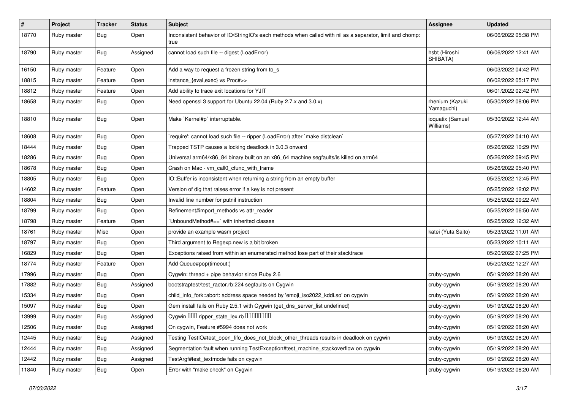| $\vert$ # | Project     | <b>Tracker</b> | <b>Status</b> | <b>Subject</b>                                                                                                    | <b>Assignee</b>               | <b>Updated</b>      |
|-----------|-------------|----------------|---------------|-------------------------------------------------------------------------------------------------------------------|-------------------------------|---------------------|
| 18770     | Ruby master | <b>Bug</b>     | Open          | Inconsistent behavior of IO/StringIO's each methods when called with nil as a separator, limit and chomp:<br>true |                               | 06/06/2022 05:38 PM |
| 18790     | Ruby master | <b>Bug</b>     | Assigned      | cannot load such file -- digest (LoadError)                                                                       | hsbt (Hiroshi<br>SHIBATA)     | 06/06/2022 12:41 AM |
| 16150     | Ruby master | Feature        | Open          | Add a way to request a frozen string from to_s                                                                    |                               | 06/03/2022 04:42 PM |
| 18815     | Ruby master | Feature        | Open          | instance_{eval,exec} vs Proc#>>                                                                                   |                               | 06/02/2022 05:17 PM |
| 18812     | Ruby master | Feature        | Open          | Add ability to trace exit locations for YJIT                                                                      |                               | 06/01/2022 02:42 PM |
| 18658     | Ruby master | <b>Bug</b>     | Open          | Need openssl 3 support for Ubuntu 22.04 (Ruby 2.7.x and 3.0.x)                                                    | rhenium (Kazuki<br>Yamaguchi) | 05/30/2022 08:06 PM |
| 18810     | Ruby master | <b>Bug</b>     | Open          | Make `Kernel#p` interruptable.                                                                                    | ioquatix (Samuel<br>Williams) | 05/30/2022 12:44 AM |
| 18608     | Ruby master | <b>Bug</b>     | Open          | require': cannot load such file -- ripper (LoadError) after `make distclean`                                      |                               | 05/27/2022 04:10 AM |
| 18444     | Ruby master | <b>Bug</b>     | Open          | Trapped TSTP causes a locking deadlock in 3.0.3 onward                                                            |                               | 05/26/2022 10:29 PM |
| 18286     | Ruby master | Bug            | Open          | Universal arm64/x86_84 binary built on an x86_64 machine segfaults/is killed on arm64                             |                               | 05/26/2022 09:45 PM |
| 18678     | Ruby master | <b>Bug</b>     | Open          | Crash on Mac - vm_call0_cfunc_with_frame                                                                          |                               | 05/26/2022 05:40 PM |
| 18805     | Ruby master | <b>Bug</b>     | Open          | IO::Buffer is inconsistent when returning a string from an empty buffer                                           |                               | 05/25/2022 12:45 PM |
| 14602     | Ruby master | Feature        | Open          | Version of dig that raises error if a key is not present                                                          |                               | 05/25/2022 12:02 PM |
| 18804     | Ruby master | <b>Bug</b>     | Open          | Invalid line number for putnil instruction                                                                        |                               | 05/25/2022 09:22 AM |
| 18799     | Ruby master | <b>Bug</b>     | Open          | Refinement#import methods vs attr reader                                                                          |                               | 05/25/2022 06:50 AM |
| 18798     | Ruby master | Feature        | Open          | 'UnboundMethod#==' with inherited classes                                                                         |                               | 05/25/2022 12:32 AM |
| 18761     | Ruby master | Misc           | Open          | provide an example wasm project                                                                                   | katei (Yuta Saito)            | 05/23/2022 11:01 AM |
| 18797     | Ruby master | <b>Bug</b>     | Open          | Third argument to Regexp.new is a bit broken                                                                      |                               | 05/23/2022 10:11 AM |
| 16829     | Ruby master | <b>Bug</b>     | Open          | Exceptions raised from within an enumerated method lose part of their stacktrace                                  |                               | 05/20/2022 07:25 PM |
| 18774     | Ruby master | Feature        | Open          | Add Queue#pop(timeout:)                                                                                           |                               | 05/20/2022 12:27 AM |
| 17996     | Ruby master | <b>Bug</b>     | Open          | Cygwin: thread + pipe behavior since Ruby 2.6                                                                     | cruby-cygwin                  | 05/19/2022 08:20 AM |
| 17882     | Ruby master | <b>Bug</b>     | Assigned      | bootstraptest/test_ractor.rb:224 segfaults on Cygwin                                                              | cruby-cygwin                  | 05/19/2022 08:20 AM |
| 15334     | Ruby master | <b>Bug</b>     | Open          | child_info_fork::abort: address space needed by 'emoji_iso2022_kddi.so' on cygwin                                 | cruby-cygwin                  | 05/19/2022 08:20 AM |
| 15097     | Ruby master | <b>Bug</b>     | Open          | Gem install fails on Ruby 2.5.1 with Cygwin (get_dns_server_list undefined)                                       | cruby-cygwin                  | 05/19/2022 08:20 AM |
| 13999     | Ruby master | <b>Bug</b>     | Assigned      | Cygwin 000 ripper_state_lex.rb 0000000                                                                            | cruby-cygwin                  | 05/19/2022 08:20 AM |
| 12506     | Ruby master | <b>Bug</b>     | Assigned      | On cygwin, Feature #5994 does not work                                                                            | cruby-cygwin                  | 05/19/2022 08:20 AM |
| 12445     | Ruby master | <b>Bug</b>     | Assigned      | Testing TestIO#test_open_fifo_does_not_block_other_threads results in deadlock on cygwin                          | cruby-cygwin                  | 05/19/2022 08:20 AM |
| 12444     | Ruby master | Bug            | Assigned      | Segmentation fault when running TestException#test_machine_stackoverflow on cygwin                                | cruby-cygwin                  | 05/19/2022 08:20 AM |
| 12442     | Ruby master | Bug            | Assigned      | TestArgf#test_textmode fails on cygwin                                                                            | cruby-cygwin                  | 05/19/2022 08:20 AM |
| 11840     | Ruby master | Bug            | Open          | Error with "make check" on Cygwin                                                                                 | cruby-cygwin                  | 05/19/2022 08:20 AM |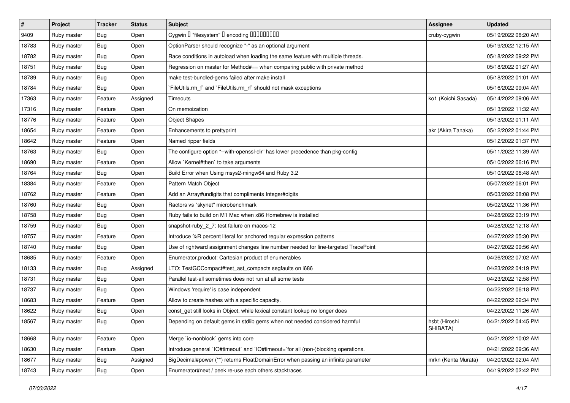| $\vert$ # | Project     | <b>Tracker</b> | <b>Status</b> | <b>Subject</b>                                                                      | <b>Assignee</b>           | <b>Updated</b>      |
|-----------|-------------|----------------|---------------|-------------------------------------------------------------------------------------|---------------------------|---------------------|
| 9409      | Ruby master | <b>Bug</b>     | Open          | Cygwin I "filesystem" I encoding IIIIIIIIIIIII                                      | cruby-cygwin              | 05/19/2022 08:20 AM |
| 18783     | Ruby master | <b>Bug</b>     | Open          | OptionParser should recognize "-" as an optional argument                           |                           | 05/19/2022 12:15 AM |
| 18782     | Ruby master | <b>Bug</b>     | Open          | Race conditions in autoload when loading the same feature with multiple threads.    |                           | 05/18/2022 09:22 PM |
| 18751     | Ruby master | <b>Bug</b>     | Open          | Regression on master for Method#== when comparing public with private method        |                           | 05/18/2022 01:27 AM |
| 18789     | Ruby master | <b>Bug</b>     | Open          | make test-bundled-gems failed after make install                                    |                           | 05/18/2022 01:01 AM |
| 18784     | Ruby master | <b>Bug</b>     | Open          | FileUtils.rm_f` and `FileUtils.rm_rf` should not mask exceptions                    |                           | 05/16/2022 09:04 AM |
| 17363     | Ruby master | Feature        | Assigned      | Timeouts                                                                            | ko1 (Koichi Sasada)       | 05/14/2022 09:06 AM |
| 17316     | Ruby master | Feature        | Open          | On memoization                                                                      |                           | 05/13/2022 11:32 AM |
| 18776     | Ruby master | Feature        | Open          | <b>Object Shapes</b>                                                                |                           | 05/13/2022 01:11 AM |
| 18654     | Ruby master | Feature        | Open          | Enhancements to prettyprint                                                         | akr (Akira Tanaka)        | 05/12/2022 01:44 PM |
| 18642     | Ruby master | Feature        | Open          | Named ripper fields                                                                 |                           | 05/12/2022 01:37 PM |
| 18763     | Ruby master | <b>Bug</b>     | Open          | The configure option "--with-openssl-dir" has lower precedence than pkg-config      |                           | 05/11/2022 11:39 AM |
| 18690     | Ruby master | Feature        | Open          | Allow `Kernel#then` to take arguments                                               |                           | 05/10/2022 06:16 PM |
| 18764     | Ruby master | <b>Bug</b>     | Open          | Build Error when Using msys2-mingw64 and Ruby 3.2                                   |                           | 05/10/2022 06:48 AM |
| 18384     | Ruby master | Feature        | Open          | Pattern Match Object                                                                |                           | 05/07/2022 06:01 PM |
| 18762     | Ruby master | Feature        | Open          | Add an Array#undigits that compliments Integer#digits                               |                           | 05/03/2022 08:08 PM |
| 18760     | Ruby master | <b>Bug</b>     | Open          | Ractors vs "skynet" microbenchmark                                                  |                           | 05/02/2022 11:36 PM |
| 18758     | Ruby master | <b>Bug</b>     | Open          | Ruby fails to build on M1 Mac when x86 Homebrew is installed                        |                           | 04/28/2022 03:19 PM |
| 18759     | Ruby master | <b>Bug</b>     | Open          | snapshot-ruby_2_7: test failure on macos-12                                         |                           | 04/28/2022 12:18 AM |
| 18757     | Ruby master | Feature        | Open          | Introduce %R percent literal for anchored regular expression patterns               |                           | 04/27/2022 05:30 PM |
| 18740     | Ruby master | <b>Bug</b>     | Open          | Use of rightward assignment changes line number needed for line-targeted TracePoint |                           | 04/27/2022 09:56 AM |
| 18685     | Ruby master | Feature        | Open          | Enumerator.product: Cartesian product of enumerables                                |                           | 04/26/2022 07:02 AM |
| 18133     | Ruby master | Bug            | Assigned      | LTO: TestGCCompact#test_ast_compacts segfaults on i686                              |                           | 04/23/2022 04:19 PM |
| 18731     | Ruby master | Bug            | Open          | Parallel test-all sometimes does not run at all some tests                          |                           | 04/23/2022 12:58 PM |
| 18737     | Ruby master | <b>Bug</b>     | Open          | Windows 'require' is case independent                                               |                           | 04/22/2022 06:18 PM |
| 18683     | Ruby master | Feature        | Open          | Allow to create hashes with a specific capacity.                                    |                           | 04/22/2022 02:34 PM |
| 18622     | Ruby master | <b>Bug</b>     | Open          | const_get still looks in Object, while lexical constant lookup no longer does       |                           | 04/22/2022 11:26 AM |
| 18567     | Ruby master | <b>Bug</b>     | Open          | Depending on default gems in stdlib gems when not needed considered harmful         | hsbt (Hiroshi<br>SHIBATA) | 04/21/2022 04:45 PM |
| 18668     | Ruby master | Feature        | Open          | Merge `io-nonblock` gems into core                                                  |                           | 04/21/2022 10:02 AM |
| 18630     | Ruby master | Feature        | Open          | Introduce general `IO#timeout` and `IO#timeout=`for all (non-)blocking operations.  |                           | 04/21/2022 09:36 AM |
| 18677     | Ruby master | <b>Bug</b>     | Assigned      | BigDecimal#power (**) returns FloatDomainError when passing an infinite parameter   | mrkn (Kenta Murata)       | 04/20/2022 02:04 AM |
| 18743     | Ruby master | <b>Bug</b>     | Open          | Enumerator#next / peek re-use each others stacktraces                               |                           | 04/19/2022 02:42 PM |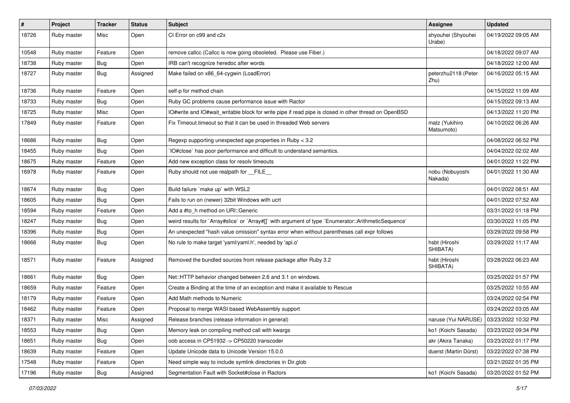| $\sharp$ | Project     | <b>Tracker</b> | <b>Status</b> | Subject                                                                                              | <b>Assignee</b>                           | <b>Updated</b>      |
|----------|-------------|----------------|---------------|------------------------------------------------------------------------------------------------------|-------------------------------------------|---------------------|
| 18726    | Ruby master | Misc           | Open          | CI Error on c99 and c2x                                                                              | shyouhei (Shyouhei<br>Urabe)              | 04/19/2022 09:05 AM |
| 10548    | Ruby master | Feature        | Open          | remove callcc (Callcc is now going obsoleted. Please use Fiber.)                                     |                                           | 04/18/2022 09:07 AM |
| 18738    | Ruby master | <b>Bug</b>     | Open          | IRB can't recognize heredoc after words                                                              |                                           | 04/18/2022 12:00 AM |
| 18727    | Ruby master | <b>Bug</b>     | Assigned      | Make failed on x86_64-cygwin (LoadError)                                                             | peterzhu2118 (Peter<br>Zhu)               | 04/16/2022 05:15 AM |
| 18736    | Ruby master | Feature        | Open          | self-p for method chain                                                                              |                                           | 04/15/2022 11:09 AM |
| 18733    | Ruby master | Bug            | Open          | Ruby GC problems cause performance issue with Ractor                                                 |                                           | 04/15/2022 09:13 AM |
| 18725    | Ruby master | Misc           | Open          | IO#write and IO#wait writable block for write pipe if read pipe is closed in other thread on OpenBSD |                                           | 04/13/2022 11:20 PM |
| 17849    | Ruby master | Feature        | Open          | Fix Timeout timeout so that it can be used in threaded Web servers                                   | matz (Yukihiro<br>Matsumoto)              | 04/10/2022 06:26 AM |
| 18686    | Ruby master | <b>Bug</b>     | Open          | Regexp supporting unexpected age properties in Ruby < 3.2                                            |                                           | 04/08/2022 06:52 PM |
| 18455    | Ruby master | <b>Bug</b>     | Open          | IO#close` has poor performance and difficult to understand semantics.                                |                                           | 04/04/2022 02:02 AM |
| 18675    | Ruby master | Feature        | Open          | Add new exception class for resolv timeouts                                                          |                                           | 04/01/2022 11:22 PM |
| 16978    | Ruby master | Feature        | Open          | Ruby should not use realpath for FILE                                                                | nobu (Nobuyoshi<br>Nakada)                | 04/01/2022 11:30 AM |
| 18674    | Ruby master | <b>Bug</b>     | Open          | Build failure `make up` with WSL2                                                                    |                                           | 04/01/2022 08:51 AM |
| 18605    | Ruby master | Bug            | Open          | Fails to run on (newer) 32bit Windows with ucrt                                                      |                                           | 04/01/2022 07:52 AM |
| 18594    | Ruby master | Feature        | Open          | Add a #to_h method on URI::Generic                                                                   |                                           | 03/31/2022 01:18 PM |
| 18247    | Ruby master | <b>Bug</b>     | Open          | weird results for `Array#slice` or `Array#[]` with argument of type `Enumerator::ArithmeticSequence` |                                           | 03/30/2022 11:05 PM |
| 18396    | Ruby master | <b>Bug</b>     | Open          | An unexpected "hash value omission" syntax error when without parentheses call expr follows          |                                           | 03/29/2022 09:58 PM |
| 18666    | Ruby master | Bug            | Open          | No rule to make target 'yaml/yaml.h', needed by 'api.o'                                              | hsbt (Hiroshi<br>SHIBATA)                 | 03/29/2022 11:17 AM |
| 18571    | Ruby master | Feature        | Assigned      | Removed the bundled sources from release package after Ruby 3.2                                      | hsbt (Hiroshi<br>SHIBATA)                 | 03/28/2022 06:23 AM |
| 18661    | Ruby master | Bug            | Open          | Net::HTTP behavior changed between 2.6 and 3.1 on windows.                                           |                                           | 03/25/2022 01:57 PM |
| 18659    | Ruby master | Feature        | Open          | Create a Binding at the time of an exception and make it available to Rescue                         |                                           | 03/25/2022 10:55 AM |
| 18179    | Ruby master | Feature        | Open          | Add Math methods to Numeric                                                                          |                                           | 03/24/2022 02:54 PM |
| 18462    | Ruby master | Feature        | Open          | Proposal to merge WASI based WebAssembly support                                                     |                                           | 03/24/2022 03:05 AM |
| 18371    | Ruby master | Misc           | Assigned      | Release branches (release information in general)                                                    | naruse (Yui NARUSE)   03/23/2022 10:32 PM |                     |
| 18553    | Ruby master | <b>Bug</b>     | Open          | Memory leak on compiling method call with kwargs                                                     | ko1 (Koichi Sasada)                       | 03/23/2022 09:34 PM |
| 18651    | Ruby master | <b>Bug</b>     | Open          | oob access in CP51932 -> CP50220 transcoder                                                          | akr (Akira Tanaka)                        | 03/23/2022 01:17 PM |
| 18639    | Ruby master | Feature        | Open          | Update Unicode data to Unicode Version 15.0.0                                                        | duerst (Martin Dürst)                     | 03/22/2022 07:38 PM |
| 17548    | Ruby master | Feature        | Open          | Need simple way to include symlink directories in Dir.glob                                           |                                           | 03/21/2022 01:35 PM |
| 17196    | Ruby master | Bug            | Assigned      | Segmentation Fault with Socket#close in Ractors                                                      | ko1 (Koichi Sasada)                       | 03/20/2022 01:52 PM |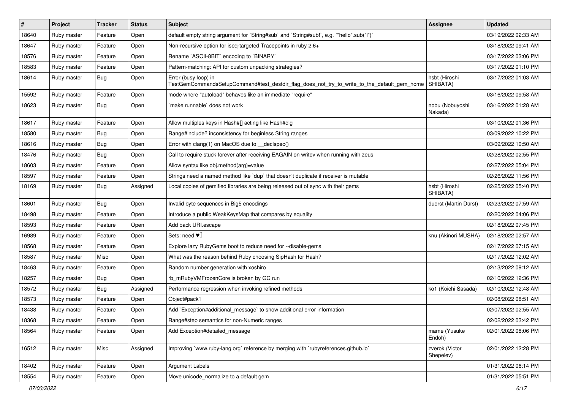| $\vert$ # | Project     | <b>Tracker</b> | <b>Status</b> | Subject                                                                                                             | <b>Assignee</b>             | <b>Updated</b>      |
|-----------|-------------|----------------|---------------|---------------------------------------------------------------------------------------------------------------------|-----------------------------|---------------------|
| 18640     | Ruby master | Feature        | Open          | default empty string argument for `String#sub` and `String#sub!`, e.g. `"hello".sub("I")`                           |                             | 03/19/2022 02:33 AM |
| 18647     | Ruby master | Feature        | Open          | Non-recursive option for iseq-targeted Tracepoints in ruby 2.6+                                                     |                             | 03/18/2022 09:41 AM |
| 18576     | Ruby master | Feature        | Open          | Rename `ASCII-8BIT` encoding to `BINARY`                                                                            |                             | 03/17/2022 03:06 PM |
| 18583     | Ruby master | Feature        | Open          | Pattern-matching: API for custom unpacking strategies?                                                              |                             | 03/17/2022 01:10 PM |
| 18614     | Ruby master | Bug            | Open          | Error (busy loop) in<br>TestGemCommandsSetupCommand#test_destdir_flag_does_not_try_to_write_to_the_default_gem_home | hsbt (Hiroshi<br>SHIBATA)   | 03/17/2022 01:03 AM |
| 15592     | Ruby master | Feature        | Open          | mode where "autoload" behaves like an immediate "require"                                                           |                             | 03/16/2022 09:58 AM |
| 18623     | Ruby master | Bug            | Open          | make runnable' does not work                                                                                        | nobu (Nobuyoshi<br>Nakada)  | 03/16/2022 01:28 AM |
| 18617     | Ruby master | Feature        | Open          | Allow multiples keys in Hash#[] acting like Hash#dig                                                                |                             | 03/10/2022 01:36 PM |
| 18580     | Ruby master | Bug            | Open          | Range#include? inconsistency for beginless String ranges                                                            |                             | 03/09/2022 10:22 PM |
| 18616     | Ruby master | Bug            | Open          | Error with clang(1) on MacOS due to __declspec()                                                                    |                             | 03/09/2022 10:50 AM |
| 18476     | Ruby master | Bug            | Open          | Call to require stuck forever after receiving EAGAIN on writev when running with zeus                               |                             | 02/28/2022 02:55 PM |
| 18603     | Ruby master | Feature        | Open          | Allow syntax like obj.method(arg)=value                                                                             |                             | 02/27/2022 05:04 PM |
| 18597     | Ruby master | Feature        | Open          | Strings need a named method like 'dup' that doesn't duplicate if receiver is mutable                                |                             | 02/26/2022 11:56 PM |
| 18169     | Ruby master | Bug            | Assigned      | Local copies of gemified libraries are being released out of sync with their gems                                   | hsbt (Hiroshi<br>SHIBATA)   | 02/25/2022 05:40 PM |
| 18601     | Ruby master | <b>Bug</b>     | Open          | Invalid byte sequences in Big5 encodings                                                                            | duerst (Martin Dürst)       | 02/23/2022 07:59 AM |
| 18498     | Ruby master | Feature        | Open          | Introduce a public WeakKeysMap that compares by equality                                                            |                             | 02/20/2022 04:06 PM |
| 18593     | Ruby master | Feature        | Open          | Add back URI.escape                                                                                                 |                             | 02/18/2022 07:45 PM |
| 16989     | Ruby master | Feature        | Open          | Sets: need $\Psi$                                                                                                   | knu (Akinori MUSHA)         | 02/18/2022 02:57 AM |
| 18568     | Ruby master | Feature        | Open          | Explore lazy RubyGems boot to reduce need for --disable-gems                                                        |                             | 02/17/2022 07:15 AM |
| 18587     | Ruby master | Misc           | Open          | What was the reason behind Ruby choosing SipHash for Hash?                                                          |                             | 02/17/2022 12:02 AM |
| 18463     | Ruby master | Feature        | Open          | Random number generation with xoshiro                                                                               |                             | 02/13/2022 09:12 AM |
| 18257     | Ruby master | <b>Bug</b>     | Open          | rb_mRubyVMFrozenCore is broken by GC run                                                                            |                             | 02/10/2022 12:36 PM |
| 18572     | Ruby master | Bug            | Assigned      | Performance regression when invoking refined methods                                                                | ko1 (Koichi Sasada)         | 02/10/2022 12:48 AM |
| 18573     | Ruby master | Feature        | Open          | Object#pack1                                                                                                        |                             | 02/08/2022 08:51 AM |
| 18438     | Ruby master | Feature        | Open          | Add `Exception#additional_message` to show additional error information                                             |                             | 02/07/2022 02:55 AM |
| 18368     | Ruby master | Feature        | Open          | Range#step semantics for non-Numeric ranges                                                                         |                             | 02/02/2022 03:42 PM |
| 18564     | Ruby master | Feature        | Open          | Add Exception#detailed message                                                                                      | mame (Yusuke<br>Endoh)      | 02/01/2022 08:06 PM |
| 16512     | Ruby master | Misc           | Assigned      | Improving `www.ruby-lang.org` reference by merging with `rubyreferences.github.io`                                  | zverok (Victor<br>Shepelev) | 02/01/2022 12:28 PM |
| 18402     | Ruby master | Feature        | Open          | Argument Labels                                                                                                     |                             | 01/31/2022 06:14 PM |
| 18554     | Ruby master | Feature        | Open          | Move unicode_normalize to a default gem                                                                             |                             | 01/31/2022 05:51 PM |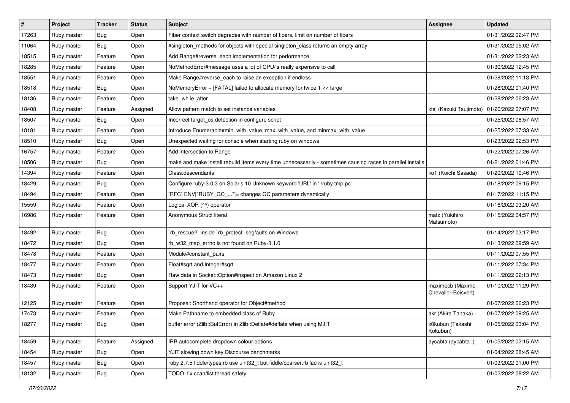| $\vert$ # | Project     | <b>Tracker</b> | <b>Status</b> | <b>Subject</b>                                                                                              | <b>Assignee</b>                         | <b>Updated</b>      |
|-----------|-------------|----------------|---------------|-------------------------------------------------------------------------------------------------------------|-----------------------------------------|---------------------|
| 17263     | Ruby master | <b>Bug</b>     | Open          | Fiber context switch degrades with number of fibers, limit on number of fibers                              |                                         | 01/31/2022 02:47 PM |
| 11064     | Ruby master | <b>Bug</b>     | Open          | #singleton_methods for objects with special singleton_class returns an empty array                          |                                         | 01/31/2022 05:02 AM |
| 18515     | Ruby master | Feature        | Open          | Add Range#reverse_each implementation for performance                                                       |                                         | 01/31/2022 02:23 AM |
| 18285     | Ruby master | Feature        | Open          | NoMethodError#message uses a lot of CPU/is really expensive to call                                         |                                         | 01/30/2022 12:45 PM |
| 18551     | Ruby master | Feature        | Open          | Make Range#reverse_each to raise an exception if endless                                                    |                                         | 01/28/2022 11:13 PM |
| 18518     | Ruby master | Bug            | Open          | NoMemoryError + [FATAL] failed to allocate memory for twice 1 << large                                      |                                         | 01/28/2022 01:40 PM |
| 18136     | Ruby master | Feature        | Open          | take while after                                                                                            |                                         | 01/28/2022 06:23 AM |
| 18408     | Ruby master | Feature        | Assigned      | Allow pattern match to set instance variables                                                               | ktsj (Kazuki Tsujimoto)                 | 01/26/2022 07:07 PM |
| 18507     | Ruby master | Bug            | Open          | Incorrect target_os detection in configure script                                                           |                                         | 01/25/2022 08:57 AM |
| 18181     | Ruby master | Feature        | Open          | Introduce Enumerable#min_with_value, max_with_value, and minmax_with_value                                  |                                         | 01/25/2022 07:33 AM |
| 18510     | Ruby master | Bug            | Open          | Unexpected waiting for console when starting ruby on windows                                                |                                         | 01/23/2022 02:53 PM |
| 16757     | Ruby master | Feature        | Open          | Add intersection to Range                                                                                   |                                         | 01/22/2022 07:26 AM |
| 18506     | Ruby master | <b>Bug</b>     | Open          | make and make install rebuild items every time unnecessarily - sometimes causing races in parallel installs |                                         | 01/21/2022 01:46 PM |
| 14394     | Ruby master | Feature        | Open          | Class.descendants                                                                                           | ko1 (Koichi Sasada)                     | 01/20/2022 10:46 PM |
| 18429     | Ruby master | Bug            | Open          | Configure ruby-3.0.3 on Solaris 10 Unknown keyword 'URL' in './ruby.tmp.pc'                                 |                                         | 01/18/2022 09:15 PM |
| 18494     | Ruby master | Feature        | Open          | [RFC] ENV["RUBY_GC_"]= changes GC parameters dynamically                                                    |                                         | 01/17/2022 11:15 PM |
| 15559     | Ruby master | Feature        | Open          | Logical XOR (^^) operator                                                                                   |                                         | 01/16/2022 03:20 AM |
| 16986     | Ruby master | Feature        | Open          | Anonymous Struct literal                                                                                    | matz (Yukihiro<br>Matsumoto)            | 01/15/2022 04:57 PM |
| 18492     | Ruby master | Bug            | Open          | `rb_rescue2` inside `rb_protect` segfaults on Windows                                                       |                                         | 01/14/2022 03:17 PM |
| 18472     | Ruby master | <b>Bug</b>     | Open          | rb_w32_map_errno is not found on Ruby-3.1.0                                                                 |                                         | 01/13/2022 09:59 AM |
| 18478     | Ruby master | Feature        | Open          | Module#constant_pairs                                                                                       |                                         | 01/11/2022 07:55 PM |
| 18477     | Ruby master | Feature        | Open          | Float#sqrt and Integer#sqrt                                                                                 |                                         | 01/11/2022 07:34 PM |
| 18473     | Ruby master | Bug            | Open          | Raw data in Socket::Option#inspect on Amazon Linux 2                                                        |                                         | 01/11/2022 02:13 PM |
| 18439     | Ruby master | Feature        | Open          | Support YJIT for VC++                                                                                       | maximecb (Maxime<br>Chevalier-Boisvert) | 01/10/2022 11:29 PM |
| 12125     | Ruby master | Feature        | Open          | Proposal: Shorthand operator for Object#method                                                              |                                         | 01/07/2022 06:23 PM |
| 17473     | Ruby master | Feature        | Open          | Make Pathname to embedded class of Ruby                                                                     | akr (Akira Tanaka)                      | 01/07/2022 09:25 AM |
| 18277     | Ruby master | <b>Bug</b>     | Open          | buffer error (Zlib::BufError) in Zlib::Deflate#deflate when using MJIT                                      | k0kubun (Takashi<br>Kokubun)            | 01/05/2022 03:04 PM |
| 18459     | Ruby master | Feature        | Assigned      | IRB autocomplete dropdown colour options                                                                    | aycabta (aycabta.)                      | 01/05/2022 02:15 AM |
| 18454     | Ruby master | Bug            | Open          | YJIT slowing down key Discourse benchmarks                                                                  |                                         | 01/04/2022 08:45 AM |
| 18457     | Ruby master | Bug            | Open          | ruby 2.7.5 fiddle/types.rb use uint32 t but fiddle/cparser.rb lacks uint32 t                                |                                         | 01/03/2022 01:00 PM |
| 18132     | Ruby master | <b>Bug</b>     | Open          | TODO: fix ccan/list thread safety                                                                           |                                         | 01/02/2022 08:22 AM |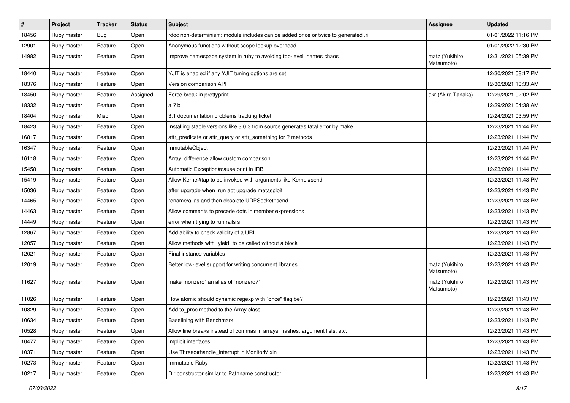| $\sharp$ | Project     | <b>Tracker</b> | <b>Status</b> | <b>Subject</b>                                                                    | Assignee                     | <b>Updated</b>      |
|----------|-------------|----------------|---------------|-----------------------------------------------------------------------------------|------------------------------|---------------------|
| 18456    | Ruby master | Bug            | Open          | rdoc non-determinism: module includes can be added once or twice to generated .ri |                              | 01/01/2022 11:16 PM |
| 12901    | Ruby master | Feature        | Open          | Anonymous functions without scope lookup overhead                                 |                              | 01/01/2022 12:30 PM |
| 14982    | Ruby master | Feature        | Open          | Improve namespace system in ruby to avoiding top-level names chaos                | matz (Yukihiro<br>Matsumoto) | 12/31/2021 05:39 PM |
| 18440    | Ruby master | Feature        | Open          | YJIT is enabled if any YJIT tuning options are set                                |                              | 12/30/2021 08:17 PM |
| 18376    | Ruby master | Feature        | Open          | Version comparison API                                                            |                              | 12/30/2021 10:33 AM |
| 18450    | Ruby master | Feature        | Assigned      | Force break in prettyprint                                                        | akr (Akira Tanaka)           | 12/29/2021 02:02 PM |
| 18332    | Ruby master | Feature        | Open          | a?b                                                                               |                              | 12/29/2021 04:38 AM |
| 18404    | Ruby master | Misc           | Open          | 3.1 documentation problems tracking ticket                                        |                              | 12/24/2021 03:59 PM |
| 18423    | Ruby master | Feature        | Open          | Installing stable versions like 3.0.3 from source generates fatal error by make   |                              | 12/23/2021 11:44 PM |
| 16817    | Ruby master | Feature        | Open          | attr_predicate or attr_query or attr_something for ? methods                      |                              | 12/23/2021 11:44 PM |
| 16347    | Ruby master | Feature        | Open          | InmutableObject                                                                   |                              | 12/23/2021 11:44 PM |
| 16118    | Ruby master | Feature        | Open          | Array .difference allow custom comparison                                         |                              | 12/23/2021 11:44 PM |
| 15458    | Ruby master | Feature        | Open          | Automatic Exception#cause print in IRB                                            |                              | 12/23/2021 11:44 PM |
| 15419    | Ruby master | Feature        | Open          | Allow Kernel#tap to be invoked with arguments like Kernel#send                    |                              | 12/23/2021 11:43 PM |
| 15036    | Ruby master | Feature        | Open          | after upgrade when run apt upgrade metasploit                                     |                              | 12/23/2021 11:43 PM |
| 14465    | Ruby master | Feature        | Open          | rename/alias and then obsolete UDPSocket::send                                    |                              | 12/23/2021 11:43 PM |
| 14463    | Ruby master | Feature        | Open          | Allow comments to precede dots in member expressions                              |                              | 12/23/2021 11:43 PM |
| 14449    | Ruby master | Feature        | Open          | error when trying to run rails s                                                  |                              | 12/23/2021 11:43 PM |
| 12867    | Ruby master | Feature        | Open          | Add ability to check validity of a URL                                            |                              | 12/23/2021 11:43 PM |
| 12057    | Ruby master | Feature        | Open          | Allow methods with `yield` to be called without a block                           |                              | 12/23/2021 11:43 PM |
| 12021    | Ruby master | Feature        | Open          | Final instance variables                                                          |                              | 12/23/2021 11:43 PM |
| 12019    | Ruby master | Feature        | Open          | Better low-level support for writing concurrent libraries                         | matz (Yukihiro<br>Matsumoto) | 12/23/2021 11:43 PM |
| 11627    | Ruby master | Feature        | Open          | make `nonzero` an alias of `nonzero?`                                             | matz (Yukihiro<br>Matsumoto) | 12/23/2021 11:43 PM |
| 11026    | Ruby master | Feature        | Open          | How atomic should dynamic regexp with "once" flag be?                             |                              | 12/23/2021 11:43 PM |
| 10829    | Ruby master | Feature        | Open          | Add to_proc method to the Array class                                             |                              | 12/23/2021 11:43 PM |
| 10634    | Ruby master | Feature        | Open          | Baselining with Benchmark                                                         |                              | 12/23/2021 11:43 PM |
| 10528    | Ruby master | Feature        | Open          | Allow line breaks instead of commas in arrays, hashes, argument lists, etc.       |                              | 12/23/2021 11:43 PM |
| 10477    | Ruby master | Feature        | Open          | Implicit interfaces                                                               |                              | 12/23/2021 11:43 PM |
| 10371    | Ruby master | Feature        | Open          | Use Thread#handle interrupt in MonitorMixin                                       |                              | 12/23/2021 11:43 PM |
| 10273    | Ruby master | Feature        | Open          | Immutable Ruby                                                                    |                              | 12/23/2021 11:43 PM |
| 10217    | Ruby master | Feature        | Open          | Dir constructor similar to Pathname constructor                                   |                              | 12/23/2021 11:43 PM |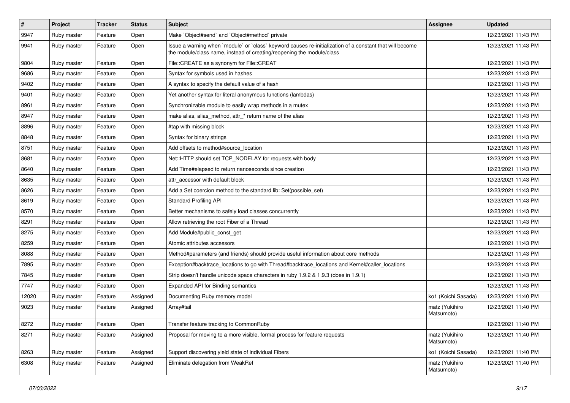| $\vert$ # | Project     | <b>Tracker</b> | <b>Status</b> | Subject                                                                                                                                                                           | <b>Assignee</b>              | <b>Updated</b>      |
|-----------|-------------|----------------|---------------|-----------------------------------------------------------------------------------------------------------------------------------------------------------------------------------|------------------------------|---------------------|
| 9947      | Ruby master | Feature        | Open          | Make `Object#send` and `Object#method` private                                                                                                                                    |                              | 12/23/2021 11:43 PM |
| 9941      | Ruby master | Feature        | Open          | Issue a warning when 'module' or 'class' keyword causes re-initialization of a constant that will become<br>the module/class name, instead of creating/reopening the module/class |                              | 12/23/2021 11:43 PM |
| 9804      | Ruby master | Feature        | Open          | File::CREATE as a synonym for File::CREAT                                                                                                                                         |                              | 12/23/2021 11:43 PM |
| 9686      | Ruby master | Feature        | Open          | Syntax for symbols used in hashes                                                                                                                                                 |                              | 12/23/2021 11:43 PM |
| 9402      | Ruby master | Feature        | Open          | A syntax to specify the default value of a hash                                                                                                                                   |                              | 12/23/2021 11:43 PM |
| 9401      | Ruby master | Feature        | Open          | Yet another syntax for literal anonymous functions (lambdas)                                                                                                                      |                              | 12/23/2021 11:43 PM |
| 8961      | Ruby master | Feature        | Open          | Synchronizable module to easily wrap methods in a mutex                                                                                                                           |                              | 12/23/2021 11:43 PM |
| 8947      | Ruby master | Feature        | Open          | make alias, alias_method, attr_* return name of the alias                                                                                                                         |                              | 12/23/2021 11:43 PM |
| 8896      | Ruby master | Feature        | Open          | #tap with missing block                                                                                                                                                           |                              | 12/23/2021 11:43 PM |
| 8848      | Ruby master | Feature        | Open          | Syntax for binary strings                                                                                                                                                         |                              | 12/23/2021 11:43 PM |
| 8751      | Ruby master | Feature        | Open          | Add offsets to method#source_location                                                                                                                                             |                              | 12/23/2021 11:43 PM |
| 8681      | Ruby master | Feature        | Open          | Net::HTTP should set TCP_NODELAY for requests with body                                                                                                                           |                              | 12/23/2021 11:43 PM |
| 8640      | Ruby master | Feature        | Open          | Add Time#elapsed to return nanoseconds since creation                                                                                                                             |                              | 12/23/2021 11:43 PM |
| 8635      | Ruby master | Feature        | Open          | attr accessor with default block                                                                                                                                                  |                              | 12/23/2021 11:43 PM |
| 8626      | Ruby master | Feature        | Open          | Add a Set coercion method to the standard lib: Set (possible set)                                                                                                                 |                              | 12/23/2021 11:43 PM |
| 8619      | Ruby master | Feature        | Open          | <b>Standard Profiling API</b>                                                                                                                                                     |                              | 12/23/2021 11:43 PM |
| 8570      | Ruby master | Feature        | Open          | Better mechanisms to safely load classes concurrently                                                                                                                             |                              | 12/23/2021 11:43 PM |
| 8291      | Ruby master | Feature        | Open          | Allow retrieving the root Fiber of a Thread                                                                                                                                       |                              | 12/23/2021 11:43 PM |
| 8275      | Ruby master | Feature        | Open          | Add Module#public_const_get                                                                                                                                                       |                              | 12/23/2021 11:43 PM |
| 8259      | Ruby master | Feature        | Open          | Atomic attributes accessors                                                                                                                                                       |                              | 12/23/2021 11:43 PM |
| 8088      | Ruby master | Feature        | Open          | Method#parameters (and friends) should provide useful information about core methods                                                                                              |                              | 12/23/2021 11:43 PM |
| 7895      | Ruby master | Feature        | Open          | Exception#backtrace_locations to go with Thread#backtrace_locations and Kernel#caller_locations                                                                                   |                              | 12/23/2021 11:43 PM |
| 7845      | Ruby master | Feature        | Open          | Strip doesn't handle unicode space characters in ruby 1.9.2 & 1.9.3 (does in 1.9.1)                                                                                               |                              | 12/23/2021 11:43 PM |
| 7747      | Ruby master | Feature        | Open          | Expanded API for Binding semantics                                                                                                                                                |                              | 12/23/2021 11:43 PM |
| 12020     | Ruby master | Feature        | Assigned      | Documenting Ruby memory model                                                                                                                                                     | ko1 (Koichi Sasada)          | 12/23/2021 11:40 PM |
| 9023      | Ruby master | Feature        | Assigned      | Array#tail                                                                                                                                                                        | matz (Yukihiro<br>Matsumoto) | 12/23/2021 11:40 PM |
| 8272      | Ruby master | Feature        | Open          | Transfer feature tracking to CommonRuby                                                                                                                                           |                              | 12/23/2021 11:40 PM |
| 8271      | Ruby master | Feature        | Assigned      | Proposal for moving to a more visible, formal process for feature requests                                                                                                        | matz (Yukihiro<br>Matsumoto) | 12/23/2021 11:40 PM |
| 8263      | Ruby master | Feature        | Assigned      | Support discovering yield state of individual Fibers                                                                                                                              | ko1 (Koichi Sasada)          | 12/23/2021 11:40 PM |
| 6308      | Ruby master | Feature        | Assigned      | Eliminate delegation from WeakRef                                                                                                                                                 | matz (Yukihiro<br>Matsumoto) | 12/23/2021 11:40 PM |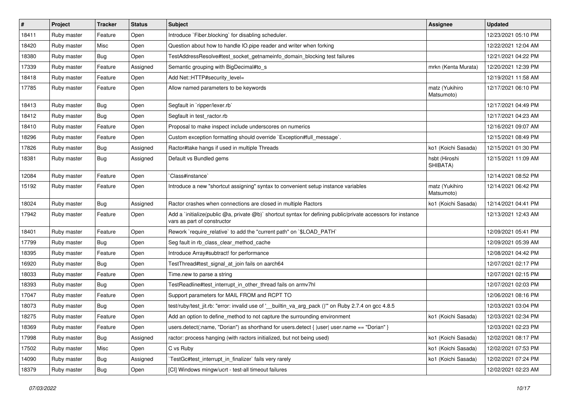| $\vert$ # | Project     | <b>Tracker</b> | <b>Status</b> | Subject                                                                                                                                     | <b>Assignee</b>              | <b>Updated</b>      |
|-----------|-------------|----------------|---------------|---------------------------------------------------------------------------------------------------------------------------------------------|------------------------------|---------------------|
| 18411     | Ruby master | Feature        | Open          | Introduce `Fiber.blocking` for disabling scheduler.                                                                                         |                              | 12/23/2021 05:10 PM |
| 18420     | Ruby master | Misc           | Open          | Question about how to handle IO.pipe reader and writer when forking                                                                         |                              | 12/22/2021 12:04 AM |
| 18380     | Ruby master | Bug            | Open          | TestAddressResolve#test_socket_getnameinfo_domain_blocking test failures                                                                    |                              | 12/21/2021 04:22 PM |
| 17339     | Ruby master | Feature        | Assigned      | Semantic grouping with BigDecimal#to_s                                                                                                      | mrkn (Kenta Murata)          | 12/20/2021 12:39 PM |
| 18418     | Ruby master | Feature        | Open          | Add Net::HTTP#security_level=                                                                                                               |                              | 12/19/2021 11:58 AM |
| 17785     | Ruby master | Feature        | Open          | Allow named parameters to be keywords                                                                                                       | matz (Yukihiro<br>Matsumoto) | 12/17/2021 06:10 PM |
| 18413     | Ruby master | Bug            | Open          | Segfault in `ripper/lexer.rb`                                                                                                               |                              | 12/17/2021 04:49 PM |
| 18412     | Ruby master | <b>Bug</b>     | Open          | Segfault in test_ractor.rb                                                                                                                  |                              | 12/17/2021 04:23 AM |
| 18410     | Ruby master | Feature        | Open          | Proposal to make inspect include underscores on numerics                                                                                    |                              | 12/16/2021 09:07 AM |
| 18296     | Ruby master | Feature        | Open          | Custom exception formatting should override `Exception#full_message`.                                                                       |                              | 12/15/2021 08:49 PM |
| 17826     | Ruby master | <b>Bug</b>     | Assigned      | Ractor#take hangs if used in multiple Threads                                                                                               | ko1 (Koichi Sasada)          | 12/15/2021 01:30 PM |
| 18381     | Ruby master | <b>Bug</b>     | Assigned      | Default vs Bundled gems                                                                                                                     | hsbt (Hiroshi<br>SHIBATA)    | 12/15/2021 11:09 AM |
| 12084     | Ruby master | Feature        | Open          | Class#instance`                                                                                                                             |                              | 12/14/2021 08:52 PM |
| 15192     | Ruby master | Feature        | Open          | Introduce a new "shortcut assigning" syntax to convenient setup instance variables                                                          | matz (Yukihiro<br>Matsumoto) | 12/14/2021 06:42 PM |
| 18024     | Ruby master | Bug            | Assigned      | Ractor crashes when connections are closed in multiple Ractors                                                                              | ko1 (Koichi Sasada)          | 12/14/2021 04:41 PM |
| 17942     | Ruby master | Feature        | Open          | Add a `initialize(public @a, private @b)` shortcut syntax for defining public/private accessors for instance<br>vars as part of constructor |                              | 12/13/2021 12:43 AM |
| 18401     | Ruby master | Feature        | Open          | Rework `require_relative` to add the "current path" on `\$LOAD_PATH`                                                                        |                              | 12/09/2021 05:41 PM |
| 17799     | Ruby master | Bug            | Open          | Seg fault in rb_class_clear_method_cache                                                                                                    |                              | 12/09/2021 05:39 AM |
| 18395     | Ruby master | Feature        | Open          | Introduce Array#subtract! for performance                                                                                                   |                              | 12/08/2021 04:42 PM |
| 16920     | Ruby master | <b>Bug</b>     | Open          | TestThread#test_signal_at_join fails on aarch64                                                                                             |                              | 12/07/2021 02:17 PM |
| 18033     | Ruby master | Feature        | Open          | Time.new to parse a string                                                                                                                  |                              | 12/07/2021 02:15 PM |
| 18393     | Ruby master | Bug            | Open          | TestReadline#test_interrupt_in_other_thread fails on armv7hl                                                                                |                              | 12/07/2021 02:03 PM |
| 17047     | Ruby master | Feature        | Open          | Support parameters for MAIL FROM and RCPT TO                                                                                                |                              | 12/06/2021 08:16 PM |
| 18073     | Ruby master | <b>Bug</b>     | Open          | test/ruby/test_jit.rb: "error: invalid use of '__builtin_va_arg_pack ()"' on Ruby 2.7.4 on gcc 4.8.5                                        |                              | 12/03/2021 03:04 PM |
| 18275     | Ruby master | Feature        | Open          | Add an option to define method to not capture the surrounding environment                                                                   | ko1 (Koichi Sasada)          | 12/03/2021 02:34 PM |
| 18369     | Ruby master | Feature        | Open          | users.detect(:name, "Dorian") as shorthand for users.detect {  user  user.name == "Dorian" }                                                |                              | 12/03/2021 02:23 PM |
| 17998     | Ruby master | <b>Bug</b>     | Assigned      | ractor: process hanging (with ractors initialized, but not being used)                                                                      | ko1 (Koichi Sasada)          | 12/02/2021 08:17 PM |
| 17502     | Ruby master | Misc           | Open          | C vs Ruby                                                                                                                                   | ko1 (Koichi Sasada)          | 12/02/2021 07:53 PM |
| 14090     | Ruby master | <b>Bug</b>     | Assigned      | TestGc#test interrupt in finalizer` fails very rarely                                                                                       | ko1 (Koichi Sasada)          | 12/02/2021 07:24 PM |
| 18379     | Ruby master | <b>Bug</b>     | Open          | [CI] Windows mingw/ucrt - test-all timeout failures                                                                                         |                              | 12/02/2021 02:23 AM |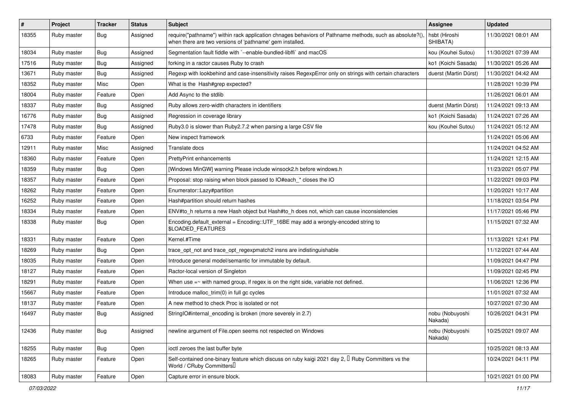| $\sharp$ | Project     | <b>Tracker</b> | <b>Status</b> | Subject                                                                                                                                                            | Assignee                   | <b>Updated</b>      |
|----------|-------------|----------------|---------------|--------------------------------------------------------------------------------------------------------------------------------------------------------------------|----------------------------|---------------------|
| 18355    | Ruby master | <b>Bug</b>     | Assigned      | require("pathname") within rack application chnages behaviors of Pathname methods, such as absolute?()<br>when there are two versions of 'pathname' gem installed. | hsbt (Hiroshi<br>SHIBATA)  | 11/30/2021 08:01 AM |
| 18034    | Ruby master | <b>Bug</b>     | Assigned      | Segmentation fault fiddle with `--enable-bundled-libffi` and macOS                                                                                                 | kou (Kouhei Sutou)         | 11/30/2021 07:39 AM |
| 17516    | Ruby master | <b>Bug</b>     | Assigned      | forking in a ractor causes Ruby to crash                                                                                                                           | ko1 (Koichi Sasada)        | 11/30/2021 05:26 AM |
| 13671    | Ruby master | <b>Bug</b>     | Assigned      | Regexp with lookbehind and case-insensitivity raises RegexpError only on strings with certain characters                                                           | duerst (Martin Dürst)      | 11/30/2021 04:42 AM |
| 18352    | Ruby master | Misc           | Open          | What is the Hash#grep expected?                                                                                                                                    |                            | 11/28/2021 10:39 PM |
| 18004    | Ruby master | Feature        | Open          | Add Async to the stdlib                                                                                                                                            |                            | 11/26/2021 06:01 AM |
| 18337    | Ruby master | Bug            | Assigned      | Ruby allows zero-width characters in identifiers                                                                                                                   | duerst (Martin Dürst)      | 11/24/2021 09:13 AM |
| 16776    | Ruby master | <b>Bug</b>     | Assigned      | Regression in coverage library                                                                                                                                     | ko1 (Koichi Sasada)        | 11/24/2021 07:26 AM |
| 17478    | Ruby master | <b>Bug</b>     | Assigned      | Ruby3.0 is slower than Ruby2.7.2 when parsing a large CSV file                                                                                                     | kou (Kouhei Sutou)         | 11/24/2021 05:12 AM |
| 6733     | Ruby master | Feature        | Open          | New inspect framework                                                                                                                                              |                            | 11/24/2021 05:06 AM |
| 12911    | Ruby master | Misc           | Assigned      | Translate docs                                                                                                                                                     |                            | 11/24/2021 04:52 AM |
| 18360    | Ruby master | Feature        | Open          | PrettyPrint enhancements                                                                                                                                           |                            | 11/24/2021 12:15 AM |
| 18359    | Ruby master | <b>Bug</b>     | Open          | [Windows MinGW] warning Please include winsock2.h before windows.h                                                                                                 |                            | 11/23/2021 05:07 PM |
| 18357    | Ruby master | Feature        | Open          | Proposal: stop raising when block passed to IO#each * closes the IO                                                                                                |                            | 11/22/2021 09:03 PM |
| 18262    | Ruby master | Feature        | Open          | Enumerator::Lazy#partition                                                                                                                                         |                            | 11/20/2021 10:17 AM |
| 16252    | Ruby master | Feature        | Open          | Hash#partition should return hashes                                                                                                                                |                            | 11/18/2021 03:54 PM |
| 18334    | Ruby master | Feature        | Open          | ENV#to_h returns a new Hash object but Hash#to_h does not, which can cause inconsistencies                                                                         |                            | 11/17/2021 05:46 PM |
| 18338    | Ruby master | <b>Bug</b>     | Open          | Encoding.default_external = Encoding::UTF_16BE may add a wrongly-encoded string to<br>\$LOADED_FEATURES                                                            |                            | 11/15/2021 07:32 AM |
| 18331    | Ruby master | Feature        | Open          | Kernel.#Time                                                                                                                                                       |                            | 11/13/2021 12:41 PM |
| 18269    | Ruby master | Bug            | Open          | trace opt not and trace opt regexpmatch2 insns are indistinguishable                                                                                               |                            | 11/12/2021 07:44 AM |
| 18035    | Ruby master | Feature        | Open          | Introduce general model/semantic for immutable by default.                                                                                                         |                            | 11/09/2021 04:47 PM |
| 18127    | Ruby master | Feature        | Open          | Ractor-local version of Singleton                                                                                                                                  |                            | 11/09/2021 02:45 PM |
| 18291    | Ruby master | Feature        | Open          | When use $=$ with named group, if regex is on the right side, variable not defined.                                                                                |                            | 11/06/2021 12:36 PM |
| 15667    | Ruby master | Feature        | Open          | Introduce malloc_trim(0) in full gc cycles                                                                                                                         |                            | 11/01/2021 07:32 AM |
| 18137    | Ruby master | Feature        | Open          | A new method to check Proc is isolated or not                                                                                                                      |                            | 10/27/2021 07:30 AM |
| 16497    | Ruby master | <b>Bug</b>     | Assigned      | StringIO#internal_encoding is broken (more severely in 2.7)                                                                                                        | nobu (Nobuyoshi<br>Nakada) | 10/26/2021 04:31 PM |
| 12436    | Ruby master | <b>Bug</b>     | Assigned      | newline argument of File.open seems not respected on Windows                                                                                                       | nobu (Nobuyoshi<br>Nakada) | 10/25/2021 09:07 AM |
| 18255    | Ruby master | Bug            | Open          | ioctl zeroes the last buffer byte                                                                                                                                  |                            | 10/25/2021 08:13 AM |
| 18265    | Ruby master | Feature        | Open          | Self-contained one-binary feature which discuss on ruby kaigi 2021 day 2, $\Box$ Ruby Committers vs the<br>World / CRuby Committers                                |                            | 10/24/2021 04:11 PM |
| 18083    | Ruby master | Feature        | Open          | Capture error in ensure block.                                                                                                                                     |                            | 10/21/2021 01:00 PM |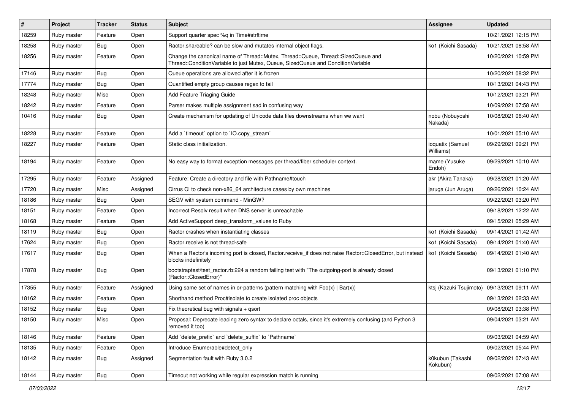| $\vert$ # | Project     | <b>Tracker</b> | <b>Status</b> | <b>Subject</b>                                                                                                                                                        | Assignee                      | <b>Updated</b>      |
|-----------|-------------|----------------|---------------|-----------------------------------------------------------------------------------------------------------------------------------------------------------------------|-------------------------------|---------------------|
| 18259     | Ruby master | Feature        | Open          | Support quarter spec %q in Time#strftime                                                                                                                              |                               | 10/21/2021 12:15 PM |
| 18258     | Ruby master | <b>Bug</b>     | Open          | Ractor.shareable? can be slow and mutates internal object flags.                                                                                                      | ko1 (Koichi Sasada)           | 10/21/2021 08:58 AM |
| 18256     | Ruby master | Feature        | Open          | Change the canonical name of Thread::Mutex, Thread::Queue, Thread::SizedQueue and<br>Thread::ConditionVariable to just Mutex, Queue, SizedQueue and ConditionVariable |                               | 10/20/2021 10:59 PM |
| 17146     | Ruby master | Bug            | Open          | Queue operations are allowed after it is frozen                                                                                                                       |                               | 10/20/2021 08:32 PM |
| 17774     | Ruby master | Bug            | Open          | Quantified empty group causes regex to fail                                                                                                                           |                               | 10/13/2021 04:43 PM |
| 18248     | Ruby master | Misc           | Open          | Add Feature Triaging Guide                                                                                                                                            |                               | 10/12/2021 03:21 PM |
| 18242     | Ruby master | Feature        | Open          | Parser makes multiple assignment sad in confusing way                                                                                                                 |                               | 10/09/2021 07:58 AM |
| 10416     | Ruby master | Bug            | Open          | Create mechanism for updating of Unicode data files downstreams when we want                                                                                          | nobu (Nobuyoshi<br>Nakada)    | 10/08/2021 06:40 AM |
| 18228     | Ruby master | Feature        | Open          | Add a 'timeout' option to 'IO.copy stream'                                                                                                                            |                               | 10/01/2021 05:10 AM |
| 18227     | Ruby master | Feature        | Open          | Static class initialization.                                                                                                                                          | ioquatix (Samuel<br>Williams) | 09/29/2021 09:21 PM |
| 18194     | Ruby master | Feature        | Open          | No easy way to format exception messages per thread/fiber scheduler context.                                                                                          | mame (Yusuke<br>Endoh)        | 09/29/2021 10:10 AM |
| 17295     | Ruby master | Feature        | Assigned      | Feature: Create a directory and file with Pathname#touch                                                                                                              | akr (Akira Tanaka)            | 09/28/2021 01:20 AM |
| 17720     | Ruby master | Misc           | Assigned      | Cirrus CI to check non-x86_64 architecture cases by own machines                                                                                                      | jaruga (Jun Aruga)            | 09/26/2021 10:24 AM |
| 18186     | Ruby master | Bug            | Open          | SEGV with system command - MinGW?                                                                                                                                     |                               | 09/22/2021 03:20 PM |
| 18151     | Ruby master | Feature        | Open          | Incorrect Resolv result when DNS server is unreachable                                                                                                                |                               | 09/18/2021 12:22 AM |
| 18168     | Ruby master | Feature        | Open          | Add ActiveSupport deep_transform_values to Ruby                                                                                                                       |                               | 09/15/2021 05:29 AM |
| 18119     | Ruby master | Bug            | Open          | Ractor crashes when instantiating classes                                                                                                                             | ko1 (Koichi Sasada)           | 09/14/2021 01:42 AM |
| 17624     | Ruby master | <b>Bug</b>     | Open          | Ractor.receive is not thread-safe                                                                                                                                     | ko1 (Koichi Sasada)           | 09/14/2021 01:40 AM |
| 17617     | Ruby master | Bug            | Open          | When a Ractor's incoming port is closed, Ractor.receive_if does not raise Ractor::ClosedError, but instead<br>blocks indefinitely                                     | ko1 (Koichi Sasada)           | 09/14/2021 01:40 AM |
| 17878     | Ruby master | Bug            | Open          | bootstraptest/test_ractor.rb:224 a random failing test with "The outgoing-port is already closed<br>(Ractor::ClosedError)"                                            |                               | 09/13/2021 01:10 PM |
| 17355     | Ruby master | Feature        | Assigned      | Using same set of names in or-patterns (pattern matching with $Foo(x)   Bar(x)$ )                                                                                     | ktsj (Kazuki Tsujimoto)       | 09/13/2021 09:11 AM |
| 18162     | Ruby master | Feature        | Open          | Shorthand method Proc#isolate to create isolated proc objects                                                                                                         |                               | 09/13/2021 02:33 AM |
| 18152     | Ruby master | Bug            | Open          | Fix theoretical bug with signals + qsort                                                                                                                              |                               | 09/08/2021 03:38 PM |
| 18150     | Ruby master | Misc           | Open          | Proposal: Deprecate leading zero syntax to declare octals, since it's extremely confusing (and Python 3<br>removed it too)                                            |                               | 09/04/2021 03:21 AM |
| 18146     | Ruby master | Feature        | Open          | Add 'delete_prefix' and 'delete_suffix' to 'Pathname'                                                                                                                 |                               | 09/03/2021 04:59 AM |
| 18135     | Ruby master | Feature        | Open          | Introduce Enumerable#detect_only                                                                                                                                      |                               | 09/02/2021 05:44 PM |
| 18142     | Ruby master | <b>Bug</b>     | Assigned      | Segmentation fault with Ruby 3.0.2                                                                                                                                    | k0kubun (Takashi<br>Kokubun)  | 09/02/2021 07:43 AM |
| 18144     | Ruby master | <b>Bug</b>     | Open          | Timeout not working while regular expression match is running                                                                                                         |                               | 09/02/2021 07:08 AM |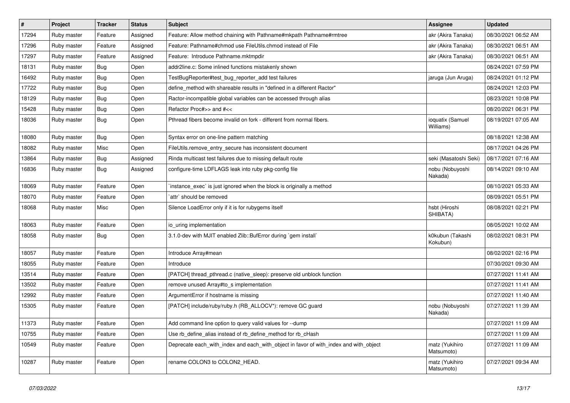| $\vert$ # | Project     | <b>Tracker</b> | <b>Status</b> | Subject                                                                               | <b>Assignee</b>               | <b>Updated</b>      |
|-----------|-------------|----------------|---------------|---------------------------------------------------------------------------------------|-------------------------------|---------------------|
| 17294     | Ruby master | Feature        | Assigned      | Feature: Allow method chaining with Pathname#mkpath Pathname#rmtree                   | akr (Akira Tanaka)            | 08/30/2021 06:52 AM |
| 17296     | Ruby master | Feature        | Assigned      | Feature: Pathname#chmod use FileUtils.chmod instead of File                           | akr (Akira Tanaka)            | 08/30/2021 06:51 AM |
| 17297     | Ruby master | Feature        | Assigned      | Feature: Introduce Pathname.mktmpdir                                                  | akr (Akira Tanaka)            | 08/30/2021 06:51 AM |
| 18131     | Ruby master | Bug            | Open          | addr2line.c: Some inlined functions mistakenly shown                                  |                               | 08/24/2021 07:59 PM |
| 16492     | Ruby master | <b>Bug</b>     | Open          | TestBugReporter#test_bug_reporter_add test failures                                   | jaruga (Jun Aruga)            | 08/24/2021 01:12 PM |
| 17722     | Ruby master | Bug            | Open          | define_method with shareable results in "defined in a different Ractor"               |                               | 08/24/2021 12:03 PM |
| 18129     | Ruby master | <b>Bug</b>     | Open          | Ractor-incompatible global variables can be accessed through alias                    |                               | 08/23/2021 10:08 PM |
| 15428     | Ruby master | <b>Bug</b>     | Open          | Refactor Proc#>> and #<<                                                              |                               | 08/20/2021 06:31 PM |
| 18036     | Ruby master | <b>Bug</b>     | Open          | Pthread fibers become invalid on fork - different from normal fibers.                 | ioquatix (Samuel<br>Williams) | 08/19/2021 07:05 AM |
| 18080     | Ruby master | <b>Bug</b>     | Open          | Syntax error on one-line pattern matching                                             |                               | 08/18/2021 12:38 AM |
| 18082     | Ruby master | Misc           | Open          | FileUtils.remove_entry_secure has inconsistent document                               |                               | 08/17/2021 04:26 PM |
| 13864     | Ruby master | Bug            | Assigned      | Rinda multicast test failures due to missing default route                            | seki (Masatoshi Seki)         | 08/17/2021 07:16 AM |
| 16836     | Ruby master | Bug            | Assigned      | configure-time LDFLAGS leak into ruby pkg-config file                                 | nobu (Nobuyoshi<br>Nakada)    | 08/14/2021 09:10 AM |
| 18069     | Ruby master | Feature        | Open          | instance_exec` is just ignored when the block is originally a method                  |                               | 08/10/2021 05:33 AM |
| 18070     | Ruby master | Feature        | Open          | `attr` should be removed                                                              |                               | 08/09/2021 05:51 PM |
| 18068     | Ruby master | Misc           | Open          | Silence LoadError only if it is for rubygems itself                                   | hsbt (Hiroshi<br>SHIBATA)     | 08/08/2021 02:21 PM |
| 18063     | Ruby master | Feature        | Open          | io_uring implementation                                                               |                               | 08/05/2021 10:02 AM |
| 18058     | Ruby master | <b>Bug</b>     | Open          | 3.1.0-dev with MJIT enabled Zlib::BufError during `gem install`                       | k0kubun (Takashi<br>Kokubun)  | 08/02/2021 08:31 PM |
| 18057     | Ruby master | Feature        | Open          | Introduce Array#mean                                                                  |                               | 08/02/2021 02:16 PM |
| 18055     | Ruby master | Feature        | Open          | Introduce                                                                             |                               | 07/30/2021 09:30 AM |
| 13514     | Ruby master | Feature        | Open          | [PATCH] thread_pthread.c (native_sleep): preserve old unblock function                |                               | 07/27/2021 11:41 AM |
| 13502     | Ruby master | Feature        | Open          | remove unused Array#to_s implementation                                               |                               | 07/27/2021 11:41 AM |
| 12992     | Ruby master | Feature        | Open          | ArgumentError if hostname is missing                                                  |                               | 07/27/2021 11:40 AM |
| 15305     | Ruby master | Feature        | Open          | [PATCH] include/ruby/ruby.h (RB_ALLOCV*): remove GC guard                             | nobu (Nobuyoshi<br>Nakada)    | 07/27/2021 11:39 AM |
| 11373     | Ruby master | Feature        | Open          | Add command line option to query valid values for --dump                              |                               | 07/27/2021 11:09 AM |
| 10755     | Ruby master | Feature        | Open          | Use rb_define_alias instead of rb_define_method for rb_cHash                          |                               | 07/27/2021 11:09 AM |
| 10549     | Ruby master | Feature        | Open          | Deprecate each_with_index and each_with_object in favor of with_index and with_object | matz (Yukihiro<br>Matsumoto)  | 07/27/2021 11:09 AM |
| 10287     | Ruby master | Feature        | Open          | rename COLON3 to COLON2_HEAD.                                                         | matz (Yukihiro<br>Matsumoto)  | 07/27/2021 09:34 AM |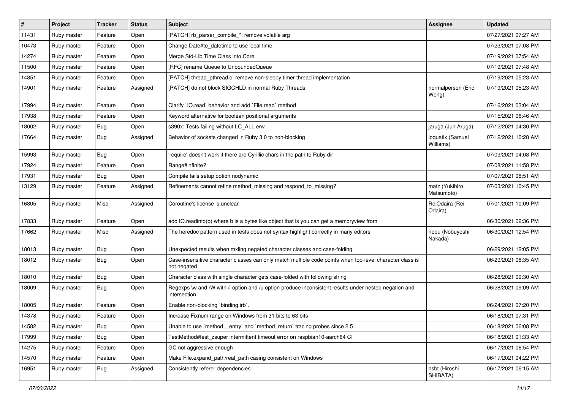| $\sharp$ | Project     | <b>Tracker</b> | <b>Status</b> | Subject                                                                                                                 | Assignee                      | <b>Updated</b>      |
|----------|-------------|----------------|---------------|-------------------------------------------------------------------------------------------------------------------------|-------------------------------|---------------------|
| 11431    | Ruby master | Feature        | Open          | [PATCH] rb_parser_compile_*: remove volatile arg                                                                        |                               | 07/27/2021 07:27 AM |
| 10473    | Ruby master | Feature        | Open          | Change Date#to_datetime to use local time                                                                               |                               | 07/23/2021 07:08 PM |
| 14274    | Ruby master | Feature        | Open          | Merge Std-Lib Time Class into Core                                                                                      |                               | 07/19/2021 07:54 AM |
| 11500    | Ruby master | Feature        | Open          | [RFC] rename Queue to UnboundedQueue                                                                                    |                               | 07/19/2021 07:48 AM |
| 14851    | Ruby master | Feature        | Open          | [PATCH] thread_pthread.c: remove non-sleepy timer thread implementation                                                 |                               | 07/19/2021 05:23 AM |
| 14901    | Ruby master | Feature        | Assigned      | [PATCH] do not block SIGCHLD in normal Ruby Threads                                                                     | normalperson (Eric<br>Wong)   | 07/19/2021 05:23 AM |
| 17994    | Ruby master | Feature        | Open          | Clarify 'IO.read' behavior and add 'File.read' method                                                                   |                               | 07/16/2021 03:04 AM |
| 17938    | Ruby master | Feature        | Open          | Keyword alternative for boolean positional arguments                                                                    |                               | 07/15/2021 06:46 AM |
| 18002    | Ruby master | <b>Bug</b>     | Open          | s390x: Tests failing without LC_ALL env                                                                                 | jaruga (Jun Aruga)            | 07/12/2021 04:30 PM |
| 17664    | Ruby master | Bug            | Assigned      | Behavior of sockets changed in Ruby 3.0 to non-blocking                                                                 | ioquatix (Samuel<br>Williams) | 07/12/2021 10:28 AM |
| 15993    | Ruby master | <b>Bug</b>     | Open          | 'require' doesn't work if there are Cyrillic chars in the path to Ruby dir                                              |                               | 07/09/2021 04:08 PM |
| 17924    | Ruby master | Feature        | Open          | Range#infinite?                                                                                                         |                               | 07/08/2021 11:58 PM |
| 17931    | Ruby master | <b>Bug</b>     | Open          | Compile fails setup option nodynamic                                                                                    |                               | 07/07/2021 08:51 AM |
| 13129    | Ruby master | Feature        | Assigned      | Refinements cannot refine method_missing and respond_to_missing?                                                        | matz (Yukihiro<br>Matsumoto)  | 07/03/2021 10:45 PM |
| 16805    | Ruby master | Misc           | Assigned      | Coroutine's license is unclear                                                                                          | ReiOdaira (Rei<br>Odaira)     | 07/01/2021 10:09 PM |
| 17833    | Ruby master | Feature        | Open          | add IO.readinto(b) where b is a bytes like object that is you can get a memoryview from                                 |                               | 06/30/2021 02:36 PM |
| 17662    | Ruby master | Misc           | Assigned      | The heredoc pattern used in tests does not syntax highlight correctly in many editors                                   | nobu (Nobuyoshi<br>Nakada)    | 06/30/2021 12:54 PM |
| 18013    | Ruby master | Bug            | Open          | Unexpected results when mxiing negated character classes and case-folding                                               |                               | 06/29/2021 12:05 PM |
| 18012    | Ruby master | Bug            | Open          | Case-insensitive character classes can only match multiple code points when top-level character class is<br>not negated |                               | 06/29/2021 08:35 AM |
| 18010    | Ruby master | Bug            | Open          | Character class with single character gets case-folded with following string                                            |                               | 06/28/2021 09:30 AM |
| 18009    | Ruby master | Bug            | Open          | Regexps \w and \W with /i option and /u option produce inconsistent results under nested negation and<br>intersection   |                               | 06/28/2021 09:09 AM |
| 18005    | Ruby master | Feature        | Open          | Enable non-blocking `binding.irb`.                                                                                      |                               | 06/24/2021 07:20 PM |
| 14378    | Ruby master | Feature        | Open          | Increase Fixnum range on Windows from 31 bits to 63 bits                                                                |                               | 06/18/2021 07:31 PM |
| 14582    | Ruby master | <b>Bug</b>     | Open          | Unable to use `method_entry` and `method_return` tracing probes since 2.5                                               |                               | 06/18/2021 06:08 PM |
| 17999    | Ruby master | Bug            | Open          | TestMethod#test_zsuper intermittent timeout error on raspbian10-aarch64 CI                                              |                               | 06/18/2021 01:33 AM |
| 14275    | Ruby master | Feature        | Open          | GC not aggressive enough                                                                                                |                               | 06/17/2021 06:54 PM |
| 14570    | Ruby master | Feature        | Open          | Make File.expand_path/real_path casing consistent on Windows                                                            |                               | 06/17/2021 04:22 PM |
| 16951    | Ruby master | Bug            | Assigned      | Consistently referer dependencies                                                                                       | hsbt (Hiroshi<br>SHIBATA)     | 06/17/2021 06:15 AM |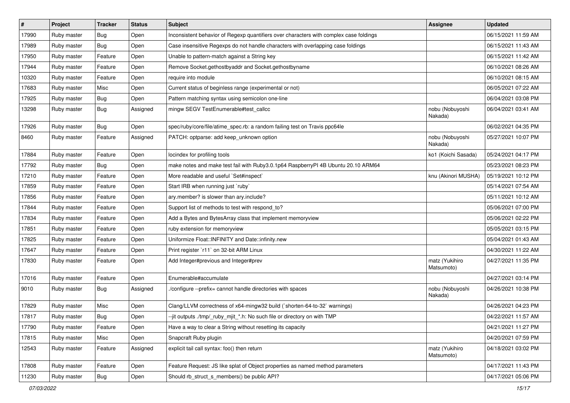| $\vert$ # | Project     | <b>Tracker</b> | <b>Status</b> | Subject                                                                                | Assignee                     | <b>Updated</b>      |
|-----------|-------------|----------------|---------------|----------------------------------------------------------------------------------------|------------------------------|---------------------|
| 17990     | Ruby master | Bug            | Open          | Inconsistent behavior of Regexp quantifiers over characters with complex case foldings |                              | 06/15/2021 11:59 AM |
| 17989     | Ruby master | Bug            | Open          | Case insensitive Regexps do not handle characters with overlapping case foldings       |                              | 06/15/2021 11:43 AM |
| 17950     | Ruby master | Feature        | Open          | Unable to pattern-match against a String key                                           |                              | 06/15/2021 11:42 AM |
| 17944     | Ruby master | Feature        | Open          | Remove Socket.gethostbyaddr and Socket.gethostbyname                                   |                              | 06/10/2021 08:26 AM |
| 10320     | Ruby master | Feature        | Open          | require into module                                                                    |                              | 06/10/2021 08:15 AM |
| 17683     | Ruby master | Misc           | Open          | Current status of beginless range (experimental or not)                                |                              | 06/05/2021 07:22 AM |
| 17925     | Ruby master | <b>Bug</b>     | Open          | Pattern matching syntax using semicolon one-line                                       |                              | 06/04/2021 03:08 PM |
| 13298     | Ruby master | <b>Bug</b>     | Assigned      | mingw SEGV TestEnumerable#test_callcc                                                  | nobu (Nobuyoshi<br>Nakada)   | 06/04/2021 03:41 AM |
| 17926     | Ruby master | Bug            | Open          | spec/ruby/core/file/atime_spec.rb: a random failing test on Travis ppc64le             |                              | 06/02/2021 04:35 PM |
| 8460      | Ruby master | Feature        | Assigned      | PATCH: optparse: add keep_unknown option                                               | nobu (Nobuyoshi<br>Nakada)   | 05/27/2021 10:07 PM |
| 17884     | Ruby master | Feature        | Open          | locindex for profiling tools                                                           | ko1 (Koichi Sasada)          | 05/24/2021 04:17 PM |
| 17792     | Ruby master | Bug            | Open          | make notes and make test fail with Ruby3.0.1p64 RaspberryPI 4B Ubuntu 20.10 ARM64      |                              | 05/23/2021 08:23 PM |
| 17210     | Ruby master | Feature        | Open          | More readable and useful `Set#inspect`                                                 | knu (Akinori MUSHA)          | 05/19/2021 10:12 PM |
| 17859     | Ruby master | Feature        | Open          | Start IRB when running just `ruby`                                                     |                              | 05/14/2021 07:54 AM |
| 17856     | Ruby master | Feature        | Open          | ary.member? is slower than ary.include?                                                |                              | 05/11/2021 10:12 AM |
| 17844     | Ruby master | Feature        | Open          | Support list of methods to test with respond_to?                                       |                              | 05/06/2021 07:00 PM |
| 17834     | Ruby master | Feature        | Open          | Add a Bytes and BytesArray class that implement memoryview                             |                              | 05/06/2021 02:22 PM |
| 17851     | Ruby master | Feature        | Open          | ruby extension for memoryview                                                          |                              | 05/05/2021 03:15 PM |
| 17825     | Ruby master | Feature        | Open          | Uniformize Float::INFINITY and Date::infinity.new                                      |                              | 05/04/2021 01:43 AM |
| 17647     | Ruby master | Feature        | Open          | Print register `r11` on 32-bit ARM Linux                                               |                              | 04/30/2021 11:22 AM |
| 17830     | Ruby master | Feature        | Open          | Add Integer#previous and Integer#prev                                                  | matz (Yukihiro<br>Matsumoto) | 04/27/2021 11:35 PM |
| 17016     | Ruby master | Feature        | Open          | Enumerable#accumulate                                                                  |                              | 04/27/2021 03:14 PM |
| 9010      | Ruby master | Bug            | Assigned      | /configure --prefix= cannot handle directories with spaces                             | nobu (Nobuyoshi<br>Nakada)   | 04/26/2021 10:38 PM |
| 17829     | Ruby master | Misc           | Open          | Clang/LLVM correctness of x64-mingw32 build (`shorten-64-to-32` warnings)              |                              | 04/26/2021 04:23 PM |
| 17817     | Ruby master | <b>Bug</b>     | Open          | --jit outputs ./tmp/_ruby_mjit_*.h: No such file or directory on with TMP              |                              | 04/22/2021 11:57 AM |
| 17790     | Ruby master | Feature        | Open          | Have a way to clear a String without resetting its capacity                            |                              | 04/21/2021 11:27 PM |
| 17815     | Ruby master | Misc           | Open          | Snapcraft Ruby plugin                                                                  |                              | 04/20/2021 07:59 PM |
| 12543     | Ruby master | Feature        | Assigned      | explicit tail call syntax: foo() then return                                           | matz (Yukihiro<br>Matsumoto) | 04/18/2021 03:02 PM |
| 17808     | Ruby master | Feature        | Open          | Feature Request: JS like splat of Object properties as named method parameters         |                              | 04/17/2021 11:43 PM |
| 11230     | Ruby master | Bug            | Open          | Should rb struct s members() be public API?                                            |                              | 04/17/2021 05:06 PM |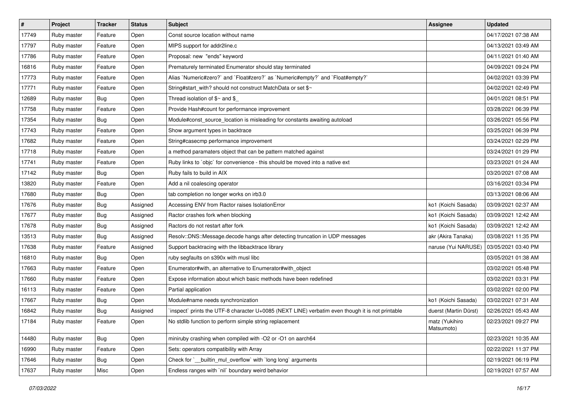| #     | Project     | <b>Tracker</b> | <b>Status</b> | <b>Subject</b>                                                                                  | <b>Assignee</b>              | <b>Updated</b>      |
|-------|-------------|----------------|---------------|-------------------------------------------------------------------------------------------------|------------------------------|---------------------|
| 17749 | Ruby master | Feature        | Open          | Const source location without name                                                              |                              | 04/17/2021 07:38 AM |
| 17797 | Ruby master | Feature        | Open          | MIPS support for addr2line.c                                                                    |                              | 04/13/2021 03:49 AM |
| 17786 | Ruby master | Feature        | Open          | Proposal: new "ends" keyword                                                                    |                              | 04/11/2021 01:40 AM |
| 16816 | Ruby master | Feature        | Open          | Prematurely terminated Enumerator should stay terminated                                        |                              | 04/09/2021 09:24 PM |
| 17773 | Ruby master | Feature        | Open          | Alias `Numeric#zero?` and `Float#zero?` as `Numeric#empty?` and `Float#empty?`                  |                              | 04/02/2021 03:39 PM |
| 17771 | Ruby master | Feature        | Open          | String#start_with? should not construct MatchData or set \$~                                    |                              | 04/02/2021 02:49 PM |
| 12689 | Ruby master | Bug            | Open          | Thread isolation of \$~ and \$_                                                                 |                              | 04/01/2021 08:51 PM |
| 17758 | Ruby master | Feature        | Open          | Provide Hash#count for performance improvement                                                  |                              | 03/28/2021 06:39 PM |
| 17354 | Ruby master | Bug            | Open          | Module#const_source_location is misleading for constants awaiting autoload                      |                              | 03/26/2021 05:56 PM |
| 17743 | Ruby master | Feature        | Open          | Show argument types in backtrace                                                                |                              | 03/25/2021 06:39 PM |
| 17682 | Ruby master | Feature        | Open          | String#casecmp performance improvement                                                          |                              | 03/24/2021 02:29 PM |
| 17718 | Ruby master | Feature        | Open          | a method paramaters object that can be pattern matched against                                  |                              | 03/24/2021 01:29 PM |
| 17741 | Ruby master | Feature        | Open          | Ruby links to `objc` for convenience - this should be moved into a native ext                   |                              | 03/23/2021 01:24 AM |
| 17142 | Ruby master | Bug            | Open          | Ruby fails to build in AIX                                                                      |                              | 03/20/2021 07:08 AM |
| 13820 | Ruby master | Feature        | Open          | Add a nil coalescing operator                                                                   |                              | 03/16/2021 03:34 PM |
| 17680 | Ruby master | Bug            | Open          | tab completion no longer works on irb3.0                                                        |                              | 03/13/2021 08:06 AM |
| 17676 | Ruby master | <b>Bug</b>     | Assigned      | Accessing ENV from Ractor raises IsolationError                                                 | ko1 (Koichi Sasada)          | 03/09/2021 02:37 AM |
| 17677 | Ruby master | <b>Bug</b>     | Assigned      | Ractor crashes fork when blocking                                                               | ko1 (Koichi Sasada)          | 03/09/2021 12:42 AM |
| 17678 | Ruby master | <b>Bug</b>     | Assigned      | Ractors do not restart after fork                                                               | ko1 (Koichi Sasada)          | 03/09/2021 12:42 AM |
| 13513 | Ruby master | <b>Bug</b>     | Assigned      | Resolv::DNS::Message.decode hangs after detecting truncation in UDP messages                    | akr (Akira Tanaka)           | 03/08/2021 11:35 PM |
| 17638 | Ruby master | Feature        | Assigned      | Support backtracing with the libbacktrace library                                               | naruse (Yui NARUSE)          | 03/05/2021 03:40 PM |
| 16810 | Ruby master | Bug            | Open          | ruby segfaults on s390x with musl libc                                                          |                              | 03/05/2021 01:38 AM |
| 17663 | Ruby master | Feature        | Open          | Enumerator#with, an alternative to Enumerator#with_object                                       |                              | 03/02/2021 05:48 PM |
| 17660 | Ruby master | Feature        | Open          | Expose information about which basic methods have been redefined                                |                              | 03/02/2021 03:31 PM |
| 16113 | Ruby master | Feature        | Open          | Partial application                                                                             |                              | 03/02/2021 02:00 PM |
| 17667 | Ruby master | Bug            | Open          | Module#name needs synchronization                                                               | ko1 (Koichi Sasada)          | 03/02/2021 07:31 AM |
| 16842 | Ruby master | Bug            | Assigned      | inspect` prints the UTF-8 character U+0085 (NEXT LINE) verbatim even though it is not printable | duerst (Martin Dürst)        | 02/26/2021 05:43 AM |
| 17184 | Ruby master | Feature        | Open          | No stdlib function to perform simple string replacement                                         | matz (Yukihiro<br>Matsumoto) | 02/23/2021 09:27 PM |
| 14480 | Ruby master | Bug            | Open          | miniruby crashing when compiled with -O2 or -O1 on aarch64                                      |                              | 02/23/2021 10:35 AM |
| 16990 | Ruby master | Feature        | Open          | Sets: operators compatibility with Array                                                        |                              | 02/22/2021 11:37 PM |
| 17646 | Ruby master | Bug            | Open          | Check for `_builtin_mul_overflow` with `long long` arguments                                    |                              | 02/19/2021 06:19 PM |
| 17637 | Ruby master | Misc           | Open          | Endless ranges with 'nil' boundary weird behavior                                               |                              | 02/19/2021 07:57 AM |